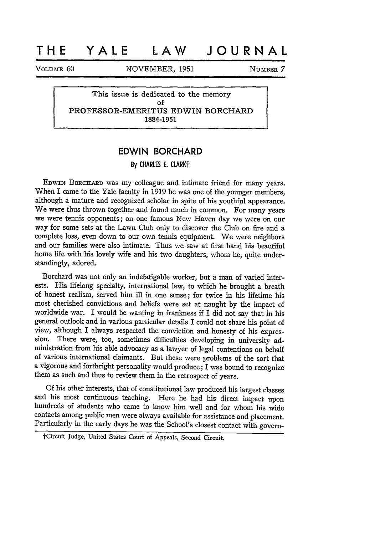## **THE YALE LAW JOURNAL**

VOLUME 60 **NOVEMBER, 1951 NUMBER 7** 

**This issue is dedicated to the memory of PROFESSOR-EMERITUS EDWIN BORCHARD 1884-1951**

## **EDWIN BORCHARD**

## **By** CHARLES **E.** CLARKt

EDWIN BORCHARD was my colleague and intimate friend for many years. When I came to the Yale faculty in 1919 he was one of the younger members, although a mature and recognized scholar in spite of his youthful appearance. We were thus thrown together and found much in common. For many years we were tennis opponents; on one famous New Haven day we were on our way for some sets at the Lawn Club only to discover the Club on fire and a complete loss, even down to our own tennis equipment. We were neighbors and our families were also intimate. Thus we saw at first hand his beautiful home life with his lovely wife and his two daughters, whom he, quite understandingly, adored.

Borchard was not only an indefatigable worker, but a man of varied interests. His lifelong specialty, international law, to which he brought a breath of honest realism, served him ill in one sense; for twice in his lifetime his most cherished convictions and beliefs were set at naught by the impact of worldwide war. I would be wanting in frankness if I did not say that in his general outlook and in various particular details I could not share his point of view, although I always respected the conviction and honesty of his expression. There were, too, sometimes difficulties developing in university administration from his able advocacy as a lawyer of legal contentions on behalf of various international claimants. But these were problems of the sort that a vigorous and forthright personality would produce; I was bound to recognize them as such and thus to review them in the retrospect of years.

Of his other interests, that of constitutional law produced his largest classes and his most continuous teaching. Here he had his direct impact upon hundreds of students who came to know him well and for whom his wide contacts among public men were always available for assistance and placement. Particularly in the early days he was the School's closest contact with govern-

tCircuit Judge, United States Court of Appeals, Second Circuit.